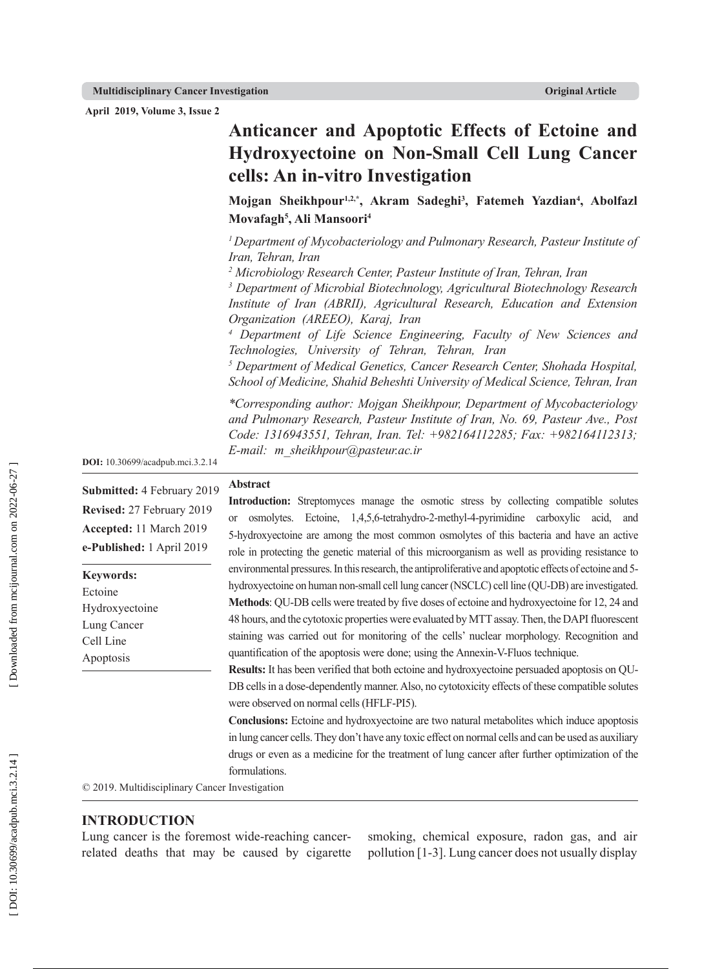**April 2019, Volume 3, Issue 2**

# **Anticancer and Apoptotic Effects of Ectoine and Hydroxyectoine on Non-Small Cell Lung Cancer cells: An in-vitro Investigation**

**Mojgan Sheikhpour1,2,\*, Akram Sadeghi 3 , Fatemeh Yazdian 4 , Abolfazl Movafagh 5 , Ali Mansoori 4**

*1 Department of Mycobacteriology and Pulmonary Research, Pasteur Institute of Iran, Tehran, Iran 2 Microbiology Research Center, Pasteur Institute of Iran, Tehran, Iran*

*3 Department of Microbial Biotechnology, Agricultural Biotechnology Research Institute of Iran (ABRII), Agricultural Research, Education and Extension Organization (AREEO), Karaj, Iran*

*4 Department of Life Science Engineering, Faculty of New Sciences and Technologies, University of Tehran, Tehran, Iran*

<sup>5</sup> Department of Medical Genetics, Cancer Research Center, Shohada Hospital, *School of Medicine, Shahid Beheshti University of Medical Science, Tehran, Iran*

*\*Corresponding author: Mojgan Sheikhpour, Department of Mycobacteriology and Pulmonary Research, Pasteur Institute of Iran, No. 69, Pasteur Ave., Post Code: 1316943551, Tehran, Iran. Tel: +982164112285; Fax: +982164112313; E-mail: m\_sheikhpour@pasteur.ac.ir*

**DOI:** 10.30699/acadpub.mci.3.2.14

**Submitted:** 4 February 2019 **Revised:** 27 February 2019 **Accepted:** 11 March 2019 **e-Published:** 1 April 2019

**Keywords:** Ectoine

| Hydroxyectoine |
|----------------|
| Lung Cancer    |
| Cell Line      |
| Apoptosis      |
|                |

#### **Abstract**

**Introduction:** Streptomyces manage the osmotic stress by collecting compatible solutes or osmolytes. Ectoine, 1,4,5,6-tetrahydro-2-methyl-4-pyrimidine carboxylic acid, and 5-hydroxyectoine are among the most common osmolytes of this bacteria and have an active role in protecting the genetic material of this microorganism as well as providing resistance to environmental pressures. In this research, the antiproliferative and apoptotic effects of ectoine and 5 hydroxyectoine on human non-small cell lung cancer (NSCLC) cell line (QU-DB) are investigated. **Methods**: QU-DB cells were treated by five doses of ectoine and hydroxyectoine for 12, 24 and 48 hours, and the cytotoxic properties were evaluated by MTT assay. Then, the DAPI fluorescent staining was carried out for monitoring of the cells' nuclear morphology. Recognition and quantification of the apoptosis were done; using the Annexin-V-Fluos technique.

**Results:** It has been verified that both ectoine and hydroxyectoine persuaded apoptosis on QU-DB cells in a dose-dependently manner. Also, no cytotoxicity effects of these compatible solutes were observed on normal cells (HFLF-PI5).

**Conclusions:** Ectoine and hydroxyectoine are two natural metabolites which induce apoptosis in lung cancer cells. They don't have any toxic effect on normal cells and can be used as auxiliary drugs or even as a medicine for the treatment of lung cancer after further optimization of the formulations.

© 2019. Multidisciplinary Cancer Investigation

#### **INTRODUCTION**

Lung cancer is the foremost wide-reaching cancerrelated deaths that may be caused by cigarette smoking, chemical exposure, radon gas, and air pollution [1-3]. Lung cancer does not usually display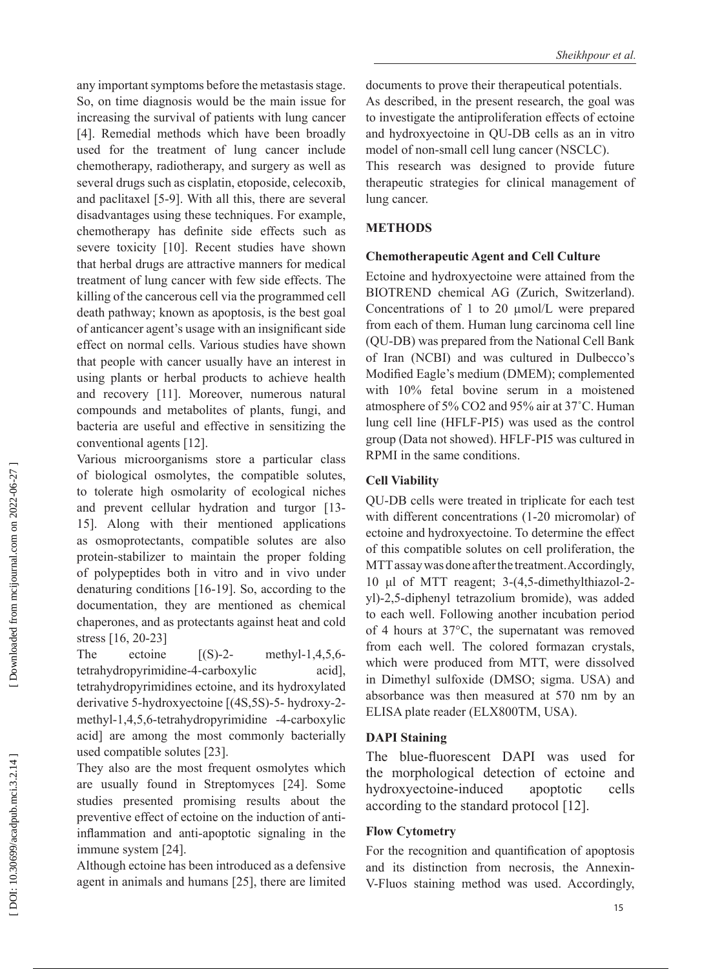any important symptoms before the metastasis stage. So, on time diagnosis would be the main issue for increasing the survival of patients with lung cancer [4]. Remedial methods which have been broadly used for the treatment of lung cancer include chemotherapy, radiotherapy, and surgery as well as several drugs such as cisplatin, etoposide, celecoxib, and paclitaxel [5-9]. With all this, there are several disadvantages using these techniques. For example, chemotherapy has definite side effects such as severe toxicity [10]. Recent studies have shown that herbal drugs are attractive manners for medical treatment of lung cancer with few side effects. The killing of the cancerous cell via the programmed cell death pathway; known as apoptosis, is the best goal of anticancer agent's usage with an insignificant side effect on normal cells. Various studies have shown that people with cancer usually have an interest in using plants or herbal products to achieve health and recovery [11]. Moreover, numerous natural compounds and metabolites of plants, fungi, and bacteria are useful and effective in sensitizing the conventional agents [12].

Various microorganisms store a particular class of biological osmolytes, the compatible solutes, to tolerate high osmolarity of ecological niches and prevent cellular hydration and turgor [13- 15]. Along with their mentioned applications as osmoprotectants, compatible solutes are also protein-stabilizer to maintain the proper folding of polypeptides both in vitro and in vivo under denaturing conditions [16-19]. So, according to the documentation, they are mentioned as chemical chaperones, and as protectants against heat and cold stress [16, 20-23 ]

The ectoine  $[(S)-2-$  methyl-1,4,5,6tetrahydropyrimidine-4-carboxylic acid], tetrahydropyrimidines ectoine, and its hydroxylated derivative 5-hydroxyectoine [(4S,5S)-5- hydroxy-2 methyl-1,4,5,6-tetrahydropyrimidine -4-carboxylic acid] are among the most commonly bacterially used compatible solutes [23].

They also are the most frequent osmolytes which are usually found in Streptomyces [24]. Some studies presented promising results about the preventive effect of ectoine on the induction of antiinflammation and anti-apoptotic signaling in the immune system [24].

Although ectoine has been introduced as a defensive agent in animals and humans [25], there are limited documents to prove their therapeutical potentials. As described, in the present research, the goal was to investigate the antiproliferation effects of ectoine and hydroxyectoine in QU-DB cells as an in vitro model of non-small cell lung cancer (NSCLC).

This research was designed to provide future therapeutic strategies for clinical management of lung cancer.

### **METHODS**

#### **Chemotherapeutic Agent and Cell Culture**

Ectoine and hydroxyectoine were attained from the BIOTREND chemical AG (Zurich, Switzerland). Concentrations of 1 to 20 µmol/L were prepared from each of them. Human lung carcinoma cell line (QU-DB) was prepared from the National Cell Bank of Iran (NCBI) and was cultured in Dulbecco's Modified Eagle's medium (DMEM); complemented with 10% fetal bovine serum in a moistened atmosphere of 5% CO2 and 95% air at 37˚C. Human lung cell line (HFLF-PI5) was used as the control group (Data not showed). HFLF-PI5 was cultured in RPMI in the same conditions.

## **Cell Viability**

QU-DB cells were treated in triplicate for each test with different concentrations (1-20 micromolar) of ectoine and hydroxyectoine. To determine the effect of this compatible solutes on cell proliferation, the MTT assay was done after the treatment. Accordingly, 10 μl of MTT reagent; 3-(4,5-dimethylthiazol-2 yl)-2,5-diphenyl tetrazolium bromide), was added to each well. Following another incubation period of 4 hours at 37°C, the supernatant was removed from each well. The colored formazan crystals, which were produced from MTT, were dissolved in Dimethyl sulfoxide (DMSO; sigma. USA) and absorbance was then measured at 570 nm by an ELISA plate reader (ELX800TM, USA).

## **DAPI Staining**

The blue-fluorescent DAPI was used for the morphological detection of ectoine and hydroxyectoine-induced apoptotic cells according to the standard protocol [12].

## **Flow Cytometry**

For the recognition and quantification of apoptosis and its distinction from necrosis, the Annexin-V-Fluos staining method was used. Accordingly,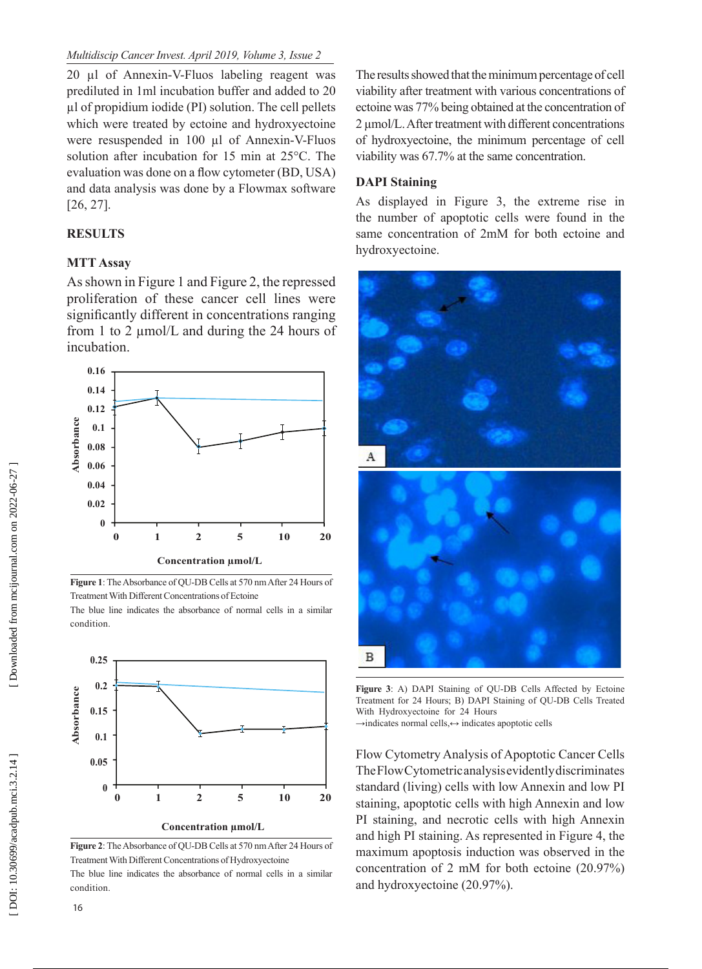20 µl of Annexin-V-Fluos labeling reagent was prediluted in 1ml incubation buffer and added to 20 µl of propidium iodide (PI) solution. The cell pellets which were treated by ectoine and hydroxyectoine were resuspended in 100 µl of Annexin-V-Fluos solution after incubation for 15 min at 25°C. The evaluation was done on a flow cytometer (BD, USA) and data analysis was done by a Flowmax software [26, 27].

## **RESULTS**

### **MTT Assay**

As shown in Figure 1 and Figure 2, the repressed proliferation of these cancer cell lines were significantly different in concentrations ranging from 1 to 2 µmol/L and during the 24 hours of incubation.



**Figure 1**: The Absorbance of QU-DB Cells at 570 nm After 24 Hours of Treatment With Different Concentrations of Ectoine

The blue line indicates the absorbance of normal cells in a similar condition.



**Figure 2**: The Absorbance of QU-DB Cells at 570 nm After 24 Hours of Treatment With Different Concentrations of Hydroxyectoine The blue line indicates the absorbance of normal cells in a similar condition.

The results showed that the minimum percentage of cell viability after treatment with various concentrations of ectoine was 77% being obtained at the concentration of 2 µmol/L. After treatment with different concentrations of hydroxyectoine, the minimum percentage of cell viability was 67.7% at the same concentration.

### **DAPI Staining**

As displayed in Figure 3, the extreme rise in the number of apoptotic cells were found in the same concentration of 2mM for both ectoine and hydroxyectoine.



**Figure 3**: A) DAPI Staining of QU-DB Cells Affected by Ectoine Treatment for 24 Hours; B) DAPI Staining of QU-DB Cells Treated With Hydroxyectoine for 24 Hours →indicates normal cells,↔ indicates apoptotic cells

Flow Cytometry Analysis of Apoptotic Cancer Cells The Flow Cytometric analysis evidently discriminates standard (living) cells with low Annexin and low PI staining, apoptotic cells with high Annexin and low PI staining, and necrotic cells with high Annexin and high PI staining. As represented in Figure 4, the maximum apoptosis induction was observed in the concentration of 2 mM for both ectoine (20.97%) and hydroxyectoine (20.97%).

16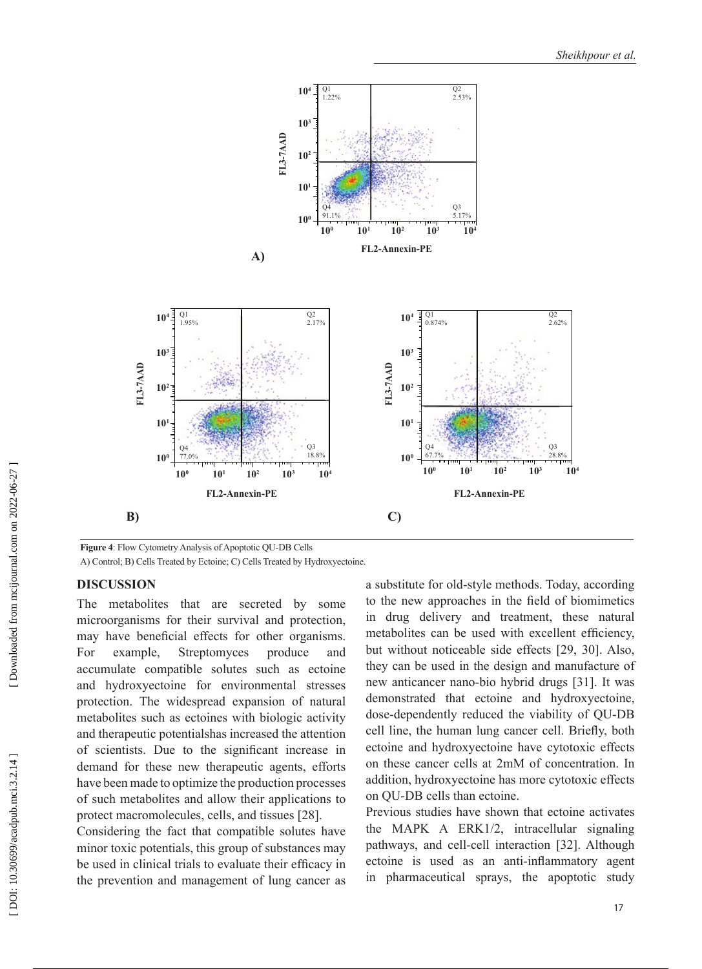

**Figure 4**: Flow Cytometry Analysis of Apoptotic QU-DB Cells

A) Control; B) Cells Treated by Ectoine; C) Cells Treated by Hydroxyectoine.

### **DISCUSSION**

The metabolites that are secreted by some microorganisms for their survival and protection, may have beneficial effects for other organisms. For example, Streptomyces produce and accumulate compatible solutes such as ectoine and hydroxyectoine for environmental stresses protection. The widespread expansion of natural metabolites such as ectoines with biologic activity and therapeutic potentialshas increased the attention of scientists. Due to the significant increase in demand for these new therapeutic agents, efforts have been made to optimize the production processes of such metabolites and allow their applications to protect macromolecules, cells, and tissues [28].

Considering the fact that compatible solutes have minor toxic potentials, this group of substances may be used in clinical trials to evaluate their efficacy in the prevention and management of lung cancer as

a substitute for old-style methods. Today, according to the new approaches in the field of biomimetics in drug delivery and treatment, these natural metabolites can be used with excellent efficiency, but without noticeable side effects [29, 30]. Also, they can be used in the design and manufacture of new anticancer nano-bio hybrid drugs [31]. It was demonstrated that ectoine and hydroxyectoine, dose-dependently reduced the viability of QU-DB cell line, the human lung cancer cell. Briefly, both ectoine and hydroxyectoine have cytotoxic effects on these cancer cells at 2mM of concentration. In addition, hydroxyectoine has more cytotoxic effects on QU-DB cells than ectoine.

Previous studies have shown that ectoine activates the MAPK A ERK1/2, intracellular signaling pathways, and cell-cell interaction [32]. Although ectoine is used as an anti-inflammatory agent in pharmaceutical sprays, the apoptotic study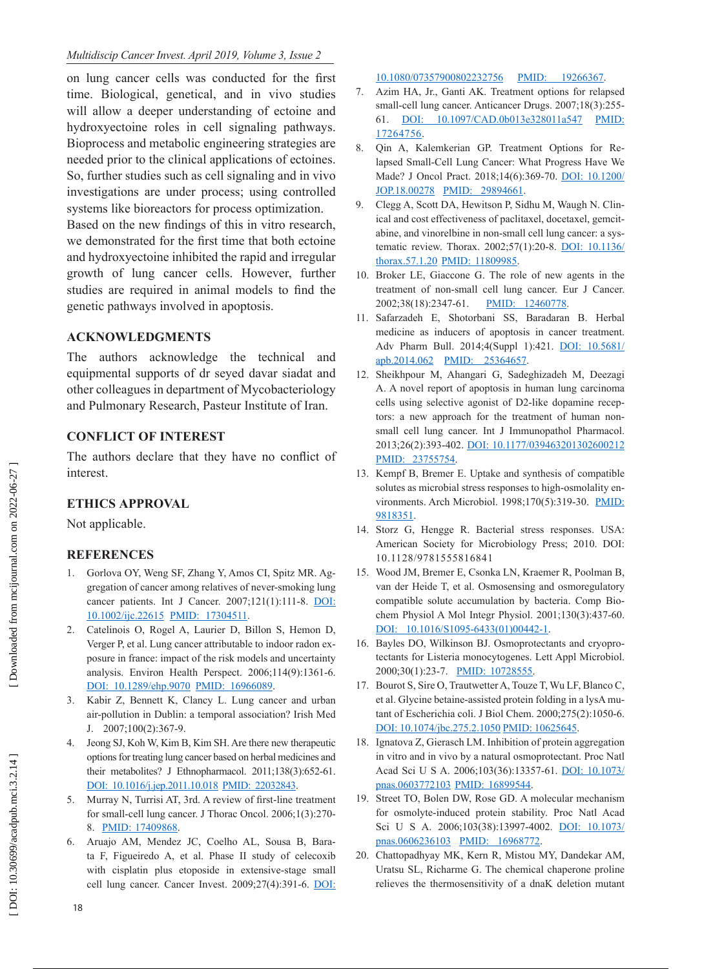on lung cancer cells was conducted for the first time. Biological, genetical, and in vivo studies will allow a deeper understanding of ectoine and hydroxyectoine roles in cell signaling pathways. Bioprocess and metabolic engineering strategies are needed prior to the clinical applications of ectoines. So, further studies such as cell signaling and in vivo investigations are under process; using controlled systems like bioreactors for process optimization. Based on the new findings of this in vitro research, we demonstrated for the first time that both ectoine and hydroxyectoine inhibited the rapid and irregular growth of lung cancer cells. However, further studies are required in animal models to find the genetic pathways involved in apoptosis.

## **ACKNOWLEDGMENTS**

The authors acknowledge the technical and equipmental supports of dr seyed davar siadat and other colleagues in department of Mycobacteriology and Pulmonary Research, Pasteur Institute of Iran.

## **CONFLICT OF INTEREST**

The authors declare that they have no conflict of interest.

# **ETHICS APPROVAL**

Not applicable.

# **REFERENCES**

- 1. Gorlova OY, Weng SF, Zhang Y, Amos CI, Spitz MR. Ag gregation of cancer among relatives of never-smoking lung cancer patients. Int J Cancer. 2007;121(1):111-8. [DOI:](http://dx.doi.org/10.1002/ijc.22615)  [10.1002/ijc.22615](http://dx.doi.org/10.1002/ijc.22615) [PMID: 17304511](http://www.ncbi.nlm.nih.gov/pubmed/17304511) .
- 2. Catelinois O, Rogel A, Laurier D, Billon S, Hemon D, Verger P, et al. Lung cancer attributable to indoor radon ex posure in france: impact of the risk models and uncertainty analysis. Environ Health Perspect. 2006;114(9):1361-6. [DOI: 10.1289/ehp.9070](http://dx.doi.org/10.1289/ehp.9070) [PMID: 16966089](http://www.ncbi.nlm.nih.gov/pubmed/16966089) .
- 3. Kabir Z, Bennett K, Clancy L. Lung cancer and urban air-pollution in Dublin: a temporal association? Irish Med J. 2007;100(2):367-9.
- 4. Jeong SJ, Koh W, Kim B, Kim SH. Are there new therapeutic options for treating lung cancer based on herbal medicines and their metabolites? J Ethnopharmacol. 2011;138(3):652-61. [DOI: 10.1016/j.jep.2011.10.018](http://dx.doi.org/10.1016/j.jep.2011.10.018) [PMID: 22032843](http://www.ncbi.nlm.nih.gov/pubmed/22032843) .
- 5. Murray N, Turrisi AT, 3rd. A review of first-line treatment for small-cell lung cancer. J Thorac Oncol. 2006;1(3):270- 8. [PMID: 17409868](http://www.ncbi.nlm.nih.gov/pubmed/17409868).
- 6. Aruajo AM, Mendez JC, Coelho AL, Sousa B, Bara ta F, Figueiredo A, et al. Phase II study of celecoxib with cisplatin plus etoposide in extensive-stage small cell lung cancer. Cancer Invest. 2009;27(4):391-6. [DOI:](http://dx.doi.org/10.1080/07357900802232756)

[10.1080/07357900802232756](http://dx.doi.org/10.1080/07357900802232756) [PMID: 19266367](http://www.ncbi.nlm.nih.gov/pubmed/19266367) .

- 7. Azim HA, Jr., Ganti AK. Treatment options for relapsed small-cell lung cancer. Anticancer Drugs. 2007;18(3):255- 61. [DOI: 10.1097/CAD.0b013e328011a547](http://dx.doi.org/10.1097/CAD.0b013e328011a547) [PMID:](http://www.ncbi.nlm.nih.gov/pubmed/17264756) [17264756](http://www.ncbi.nlm.nih.gov/pubmed/17264756) .
- 8. Qin A, Kalemkerian GP. Treatment Options for Re lapsed Small-Cell Lung Cancer: What Progress Have We Made? J Oncol Pract. 2018;14(6):369-70. [DOI: 10.1200/](http://dx.doi.org/10.1200/JOP.18.00278) <u>[JOP.18.00278](http://dx.doi.org/10.1200/JOP.18.00278)</u> [PMID: 29894661](http://www.ncbi.nlm.nih.gov/pubmed/29894661).
- 9. Clegg A, Scott DA, Hewitson P, Sidhu M, Waugh N. Clin ical and cost effectiveness of paclitaxel, docetaxel, gemcit abine, and vinorelbine in non-small cell lung cancer: a sys tematic review. Thorax. 2002;57(1):20-8. [DOI: 10.1136/](http://dx.doi.org/10.1136/thorax.57.1.20) [thorax.57.1.20](http://dx.doi.org/10.1136/thorax.57.1.20) [PMID: 11809985](http://www.ncbi.nlm.nih.gov/pubmed/11809985) .
- 10. Broker LE, Giaccone G. The role of new agents in the treatment of non-small cell lung cancer. Eur J Cancer. 2002;38(18):2347-61. PMID: 12460778
- 11. Safarzadeh E, Shotorbani SS, Baradaran B. Herbal medicine as inducers of apoptosis in cancer treatment. Adv Pharm Bull. 2014;4(Suppl 1):421. [DOI: 10.5681/](http://dx.doi.org/10.5681/apb.2014.062) [apb.2014.062](http://dx.doi.org/10.5681/apb.2014.062) [PMID: 25364657](http://www.ncbi.nlm.nih.gov/pubmed/25364657) .
- 12. Sheikhpour M, Ahangari G, Sadeghizadeh M, Deezagi A. A novel report of apoptosis in human lung carcinoma cells using selective agonist of D2-like dopamine recep tors: a new approach for the treatment of human nonsmall cell lung cancer. Int J Immunopathol Pharmacol. 2013;26(2):393-402. [DOI: 10.1177/039463201302600212](http://dx.doi.org/10.1177/039463201302600212) [PMID: 23755754](http://www.ncbi.nlm.nih.gov/pubmed/23755754).
- 13. Kempf B, Bremer E. Uptake and synthesis of compatible solutes as microbial stress responses to high-osmolality en vironments. Arch Microbiol. 1998;170(5):319-30. [PMID:](http://www.ncbi.nlm.nih.gov/pubmed/9818351) <u>[9818351](http://www.ncbi.nlm.nih.gov/pubmed/9818351)</u>.
- 14. Storz G, Hengge R. Bacterial stress responses. USA: American Society for Microbiology Press; 2010. DOI: 10.1128/9781555816841
- 15. Wood JM, Bremer E, Csonka LN, Kraemer R, Poolman B, van der Heide T, et al. Osmosensing and osmoregulatory compatible solute accumulation by bacteria. Comp Bio chem Physiol A Mol Integr Physiol. 2001;130(3):437-60. [DOI: 10.1016/S1095-6433\(01\)00442-1](http://dx.doi.org/10.1016/S1095-6433\(01\)00442-1).
- 16. Bayles DO, Wilkinson BJ. Osmoprotectants and cryopro tectants for Listeria monocytogenes. Lett Appl Microbiol. 2000;30(1):23-7. [PMID: 10728555](http://www.ncbi.nlm.nih.gov/pubmed/10728555).
- 17. Bourot S, Sire O, Trautwetter A, Touze T, Wu LF, Blanco C, et al. Glycine betaine-assisted protein folding in a lysA mu tant of Escherichia coli. J Biol Chem. 2000;275(2):1050-6. [DOI: 10.1074/jbc.275.2.1050](http://dx.doi.org/10.1074/jbc.275.2.1050) [PMID: 10625645](http://www.ncbi.nlm.nih.gov/pubmed/10625645).
- 18. Ignatova Z, Gierasch LM. Inhibition of protein aggregation in vitro and in vivo by a natural osmoprotectant. Proc Natl Acad Sci U S A. 2006;103(36):13357-61. [DOI: 10.1073/](http://dx.doi.org/10.1073/pnas.0603772103) [pnas.0603772103](http://dx.doi.org/10.1073/pnas.0603772103) [PMID: 16899544](http://www.ncbi.nlm.nih.gov/pubmed/16899544) .
- 19. Street TO, Bolen DW, Rose GD. A molecular mechanism for osmolyte-induced protein stability. Proc Natl Acad Sci U S A. 2006;103(38):13997-4002. [DOI: 10.1073/](http://dx.doi.org/10.1073/pnas.0606236103) [pnas.0606236103](http://dx.doi.org/10.1073/pnas.0606236103) [PMID: 16968772](http://www.ncbi.nlm.nih.gov/pubmed/16968772).
- 20. Chattopadhyay MK, Kern R, Mistou MY, Dandekar AM, Uratsu SL, Richarme G. The chemical chaperone proline relieves the thermosensitivity of a dnaK deletion mutant